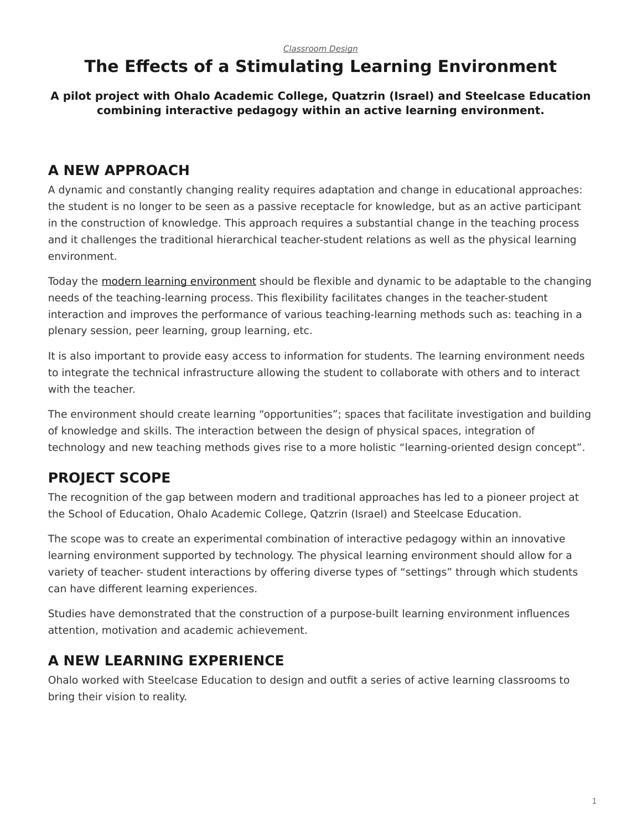# <span id="page-0-0"></span>**The Effects of a Stimulating Learning Environment**

**A pilot project with Ohalo Academic College, Quatzrin (Israel) and Steelcase Education combining interactive pedagogy within an active learning environment.**

### **A NEW APPROACH**

A dynamic and constantly changing reality requires adaptation and change in educational approaches: the student is no longer to be seen as a passive receptacle for knowledge, but as an active participant in the construction of knowledge. This approach requires a substantial change in the teaching process and it challenges the traditional hierarchical teacher-student relations as well as the physical learning environment.

Today the [modern learning environment](https://www.steelcase.com/discover/information/education/) should be flexible and dynamic to be adaptable to the changing needs of the teaching-learning process. This flexibility facilitates changes in the teacher-student interaction and improves the performance of various teaching-learning methods such as: teaching in a plenary session, peer learning, group learning, etc.

It is also important to provide easy access to information for students. The learning environment needs to integrate the technical infrastructure allowing the student to collaborate with others and to interact with the teacher.

The environment should create learning "opportunities"; spaces that facilitate investigation and building of knowledge and skills. The interaction between the design of physical spaces, integration of technology and new teaching methods gives rise to a more holistic "learning-oriented design concept".

## **PROJECT SCOPE**

The recognition of the gap between modern and traditional approaches has led to a pioneer project at the School of Education, Ohalo Academic College, Qatzrin (Israel) and Steelcase Education.

The scope was to create an experimental combination of interactive pedagogy within an innovative learning environment supported by technology. The physical learning environment should allow for a variety of teacher- student interactions by offering diverse types of "settings" through which students can have different learning experiences.

Studies have demonstrated that the construction of a purpose-built learning environment influences attention, motivation and academic achievement.

#### **A NEW LEARNING EXPERIENCE**

Ohalo worked with Steelcase Education to design and outfit a series of active learning classrooms to bring their vision to reality.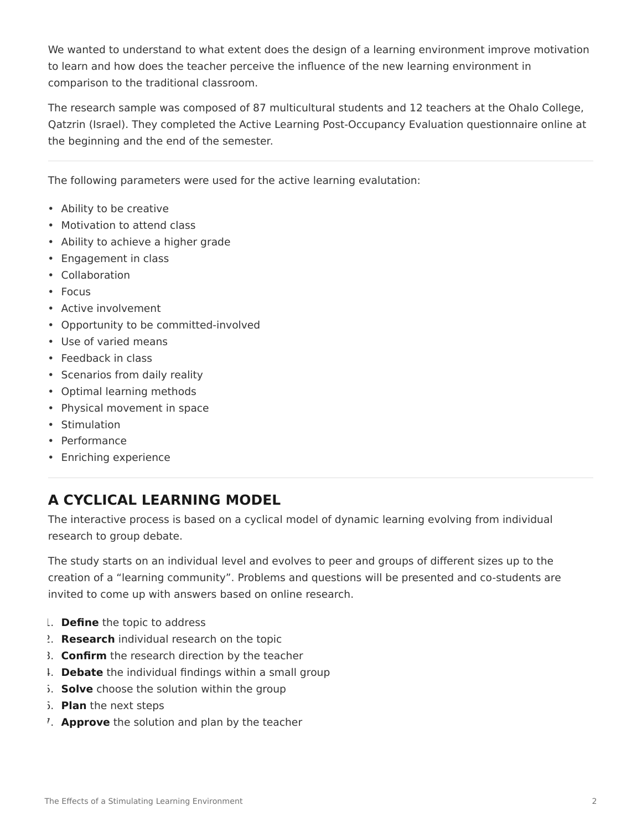We wanted to understand to what extent does the design of a learning environment improve motivation to learn and how does the teacher perceive the influence of the new learning environment in comparison to the traditional classroom.

The research sample was composed of 87 multicultural students and 12 teachers at the Ohalo College, Qatzrin (Israel). They completed the Active Learning Post-Occupancy Evaluation questionnaire online at the beginning and the end of the semester.

The following parameters were used for the active learning evalutation:

- Ability to be creative
- Motivation to attend class
- Ability to achieve a higher grade
- Engagement in class
- Collaboration
- Focus
- Active involvement
- Opportunity to be committed-involved
- Use of varied means
- Feedback in class
- Scenarios from daily reality
- Optimal learning methods
- Physical movement in space
- Stimulation
- Performance
- Enriching experience

### **A CYCLICAL LEARNING MODEL**

The interactive process is based on a cyclical model of dynamic learning evolving from individual research to group debate.

The study starts on an individual level and evolves to peer and groups of different sizes up to the creation of a "learning community". Problems and questions will be presented and co-students are invited to come up with answers based on online research.

- 1. **Define** the topic to address
- 2. **Research** individual research on the topic
- 3. **Confirm** the research direction by the teacher
- 4. **Debate** the individual findings within a small group
- 5. **Solve** choose the solution within the group
- 6. **Plan** the next steps
- 7. **Approve** the solution and plan by the teacher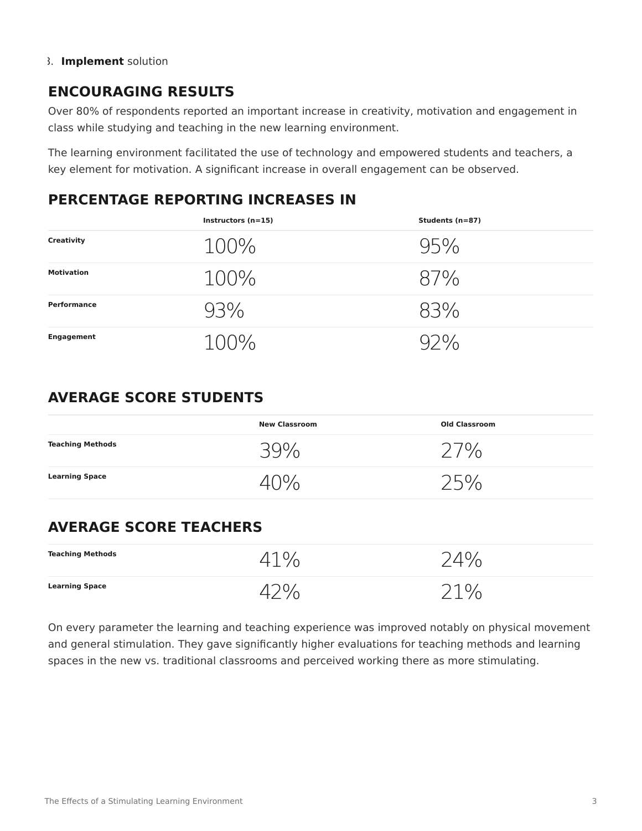#### 8. **Implement** solution

#### **ENCOURAGING RESULTS**

Over 80% of respondents reported an important increase in creativity, motivation and engagement in class while studying and teaching in the new learning environment.

The learning environment facilitated the use of technology and empowered students and teachers, a key element for motivation. A significant increase in overall engagement can be observed.

#### **PERCENTAGE REPORTING INCREASES IN**

|                   | Instructors $(n=15)$ | Students (n=87) |
|-------------------|----------------------|-----------------|
| Creativity        | $100\%$              | 95%             |
| <b>Motivation</b> | $100\%$              | 87%             |
| Performance       | 93%                  | 83%             |
| <b>Engagement</b> | 100%                 |                 |

#### **AVERAGE SCORE STUDENTS**

|                         | <b>New Classroom</b> | <b>Old Classroom</b> |
|-------------------------|----------------------|----------------------|
| <b>Teaching Methods</b> | 39%                  | $\frac{10}{10}$      |
| <b>Learning Space</b>   |                      | ) 150.               |

#### **AVERAGE SCORE TEACHERS**

| <b>Teaching Methods</b> |                    |
|-------------------------|--------------------|
| <b>Learning Space</b>   | ገ1 0 <u>/</u><br>◡ |

On every parameter the learning and teaching experience was improved notably on physical movement and general stimulation. They gave significantly higher evaluations for teaching methods and learning spaces in the new vs. traditional classrooms and perceived working there as more stimulating.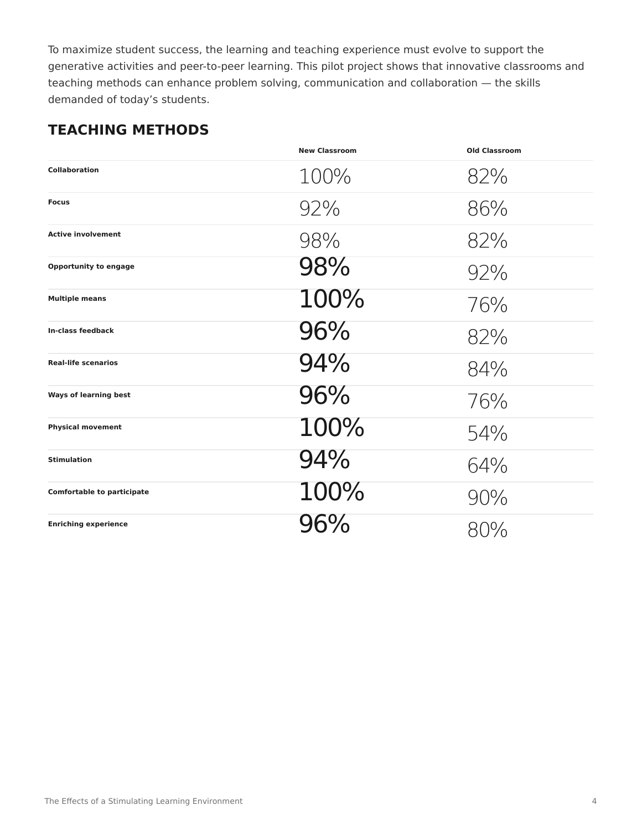To maximize student success, the learning and teaching experience must evolve to support the generative activities and peer-to-peer learning. This pilot project shows that innovative classrooms and teaching methods can enhance problem solving, communication and collaboration — the skills demanded of today's students.

#### **TEACHING METHODS**

|                                   | <b>New Classroom</b> | <b>Old Classroom</b> |
|-----------------------------------|----------------------|----------------------|
| <b>Collaboration</b>              | 100%                 | 82%                  |
| <b>Focus</b>                      | 92%                  | 86%                  |
| <b>Active involvement</b>         | 98%                  | 82%                  |
| <b>Opportunity to engage</b>      | 98%                  | 92%                  |
| <b>Multiple means</b>             | 100%                 | 76%                  |
| In-class feedback                 | 96%                  | 82%                  |
| <b>Real-life scenarios</b>        | 94%                  | 84%                  |
| <b>Ways of learning best</b>      | 96%                  | 76%                  |
| <b>Physical movement</b>          | 100%                 | 54%                  |
| <b>Stimulation</b>                | 94%                  | 64%                  |
| <b>Comfortable to participate</b> | 100%                 | 90%                  |
| <b>Enriching experience</b>       | 96%                  | 80%                  |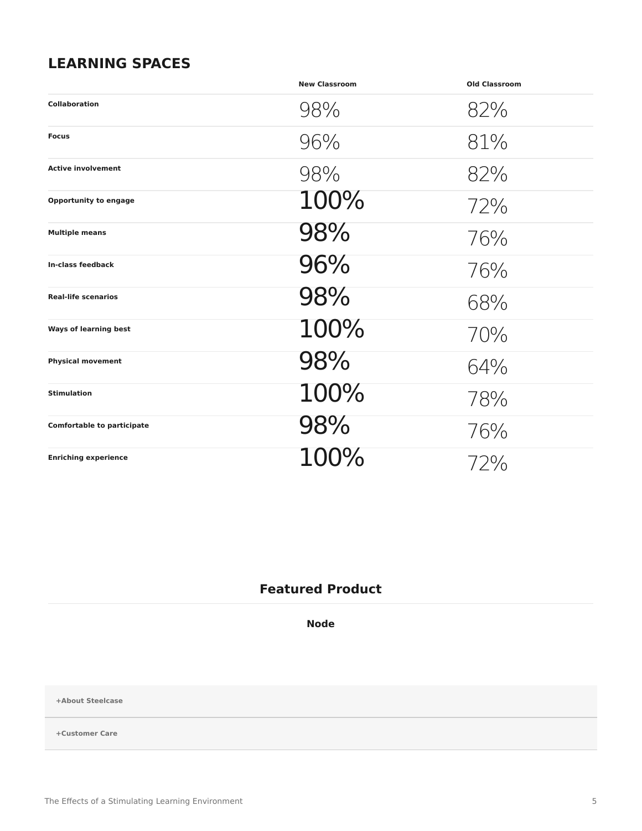#### **LEARNING SPACES**

|                                   | <b>New Classroom</b> | <b>Old Classroom</b> |
|-----------------------------------|----------------------|----------------------|
| <b>Collaboration</b>              | 98%                  | 82%                  |
| <b>Focus</b>                      | 96%                  | 81%                  |
| <b>Active involvement</b>         | 98%                  | 82%                  |
| <b>Opportunity to engage</b>      | 100%                 | 72%                  |
| <b>Multiple means</b>             | 98%                  | 76%                  |
| In-class feedback                 | 96%                  | 76%                  |
| <b>Real-life scenarios</b>        | 98%                  | 68%                  |
| <b>Ways of learning best</b>      | 100%                 | 70%                  |
| <b>Physical movement</b>          | 98%                  | 64%                  |
| <b>Stimulation</b>                | 100%                 | 78%                  |
| <b>Comfortable to participate</b> | 98%                  | 76%                  |
| <b>Enriching experience</b>       | 100%                 | 72%                  |

#### **Featured Product**

**[Node](https://www.steelcase.com/products/classroom-chairs/node/)**

**[+About Steelcase](https://www.steelcase.com/discover/steelcase/our-company/)**

**[+Customer Care](#page-0-0)**